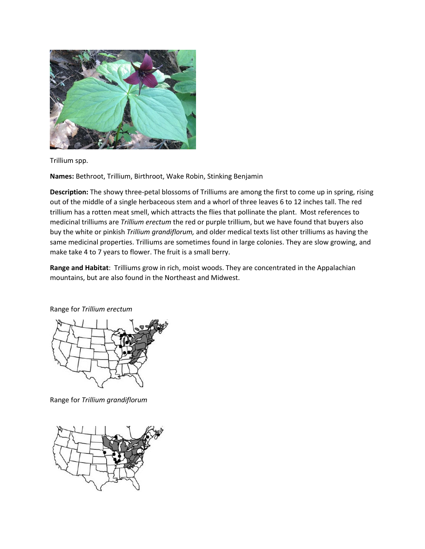

Trillium spp.

**Names:** Bethroot, Trillium, Birthroot, Wake Robin, Stinking Benjamin

**Description:** The showy three-petal blossoms of Trilliums are among the first to come up in spring, rising out of the middle of a single herbaceous stem and a whorl of three leaves 6 to 12 inches tall. The red trillium has a rotten meat smell, which attracts the flies that pollinate the plant. Most references to medicinal trilliums are *Trillium erectum* the red or purple trillium, but we have found that buyers also buy the white or pinkish *Trillium grandiflorum,* and older medical texts list other trilliums as having the same medicinal properties. Trilliums are sometimes found in large colonies. They are slow growing, and make take 4 to 7 years to flower. The fruit is a small berry.

**Range and Habitat**: Trilliums grow in rich, moist woods. They are concentrated in the Appalachian mountains, but are also found in the Northeast and Midwest.

Range for *Trillium erectum*



Range for *Trillium grandiflorum*